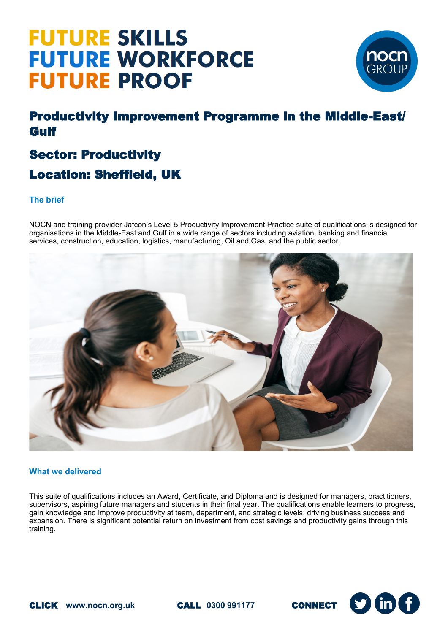## **FUTURE SKILLS FUTURE WORKFORCE FUTURE PROOF**



### Productivity Improvement Programme in the Middle-East/ Gulf

### Sector: Productivity Location: Sheffield, UK

#### **The brief**

NOCN and training provider Jafcon's Level 5 Productivity Improvement Practice suite of qualifications is designed for organisations in the Middle-East and Gulf in a wide range of sectors including aviation, banking and financial services, construction, education, logistics, manufacturing, Oil and Gas, and the public sector.



#### **What we delivered**

This suite of qualifications includes an Award, Certificate, and Diploma and is designed for managers, practitioners, supervisors, aspiring future managers and students in their final year. The qualifications enable learners to progress, gain knowledge and improve productivity at team, department, and strategic levels; driving business success and expansion. There is significant potential return on investment from cost savings and productivity gains through this training.

![](_page_0_Picture_12.jpeg)